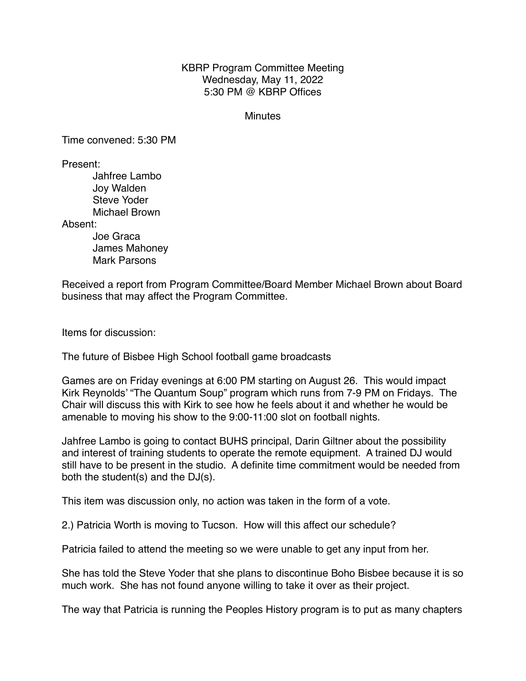## KBRP Program Committee Meeting Wednesday, May 11, 2022 5:30 PM @ KBRP Offices

## Minutes

Time convened: 5:30 PM

Present:

Jahfree Lambo Joy Walden Steve Yoder Michael Brown

Absent:

Joe Graca James Mahoney Mark Parsons

Received a report from Program Committee/Board Member Michael Brown about Board business that may affect the Program Committee.

Items for discussion:

The future of Bisbee High School football game broadcasts

Games are on Friday evenings at 6:00 PM starting on August 26. This would impact Kirk Reynolds' "The Quantum Soup" program which runs from 7-9 PM on Fridays. The Chair will discuss this with Kirk to see how he feels about it and whether he would be amenable to moving his show to the 9:00-11:00 slot on football nights.

Jahfree Lambo is going to contact BUHS principal, Darin Giltner about the possibility and interest of training students to operate the remote equipment. A trained DJ would still have to be present in the studio. A definite time commitment would be needed from both the student(s) and the DJ(s).

This item was discussion only, no action was taken in the form of a vote.

2.) Patricia Worth is moving to Tucson. How will this affect our schedule?

Patricia failed to attend the meeting so we were unable to get any input from her.

She has told the Steve Yoder that she plans to discontinue Boho Bisbee because it is so much work. She has not found anyone willing to take it over as their project.

The way that Patricia is running the Peoples History program is to put as many chapters